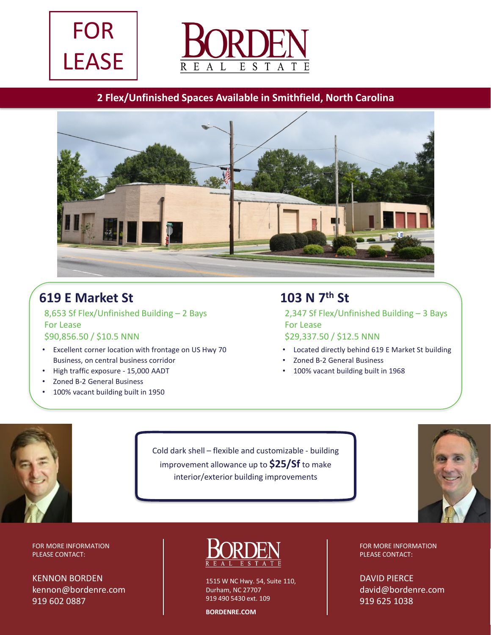



### **2 Flex/Unfinished Spaces Available in Smithfield, North Carolina**



# **619 E Market St**

8,653 Sf Flex/Unfinished Building – 2 Bays For Lease \$90,856.50 / \$10.5 NNN

- Excellent corner location with frontage on US Hwy 70 Business, on central business corridor
- High traffic exposure 15,000 AADT
- Zoned B-2 General Business
- 100% vacant building built in 1950

### **103 N 7th St**

2,347 Sf Flex/Unfinished Building – 3 Bays For Lease

#### \$29,337.50 / \$12.5 NNN

- Located directly behind 619 E Market St building
- Zoned B-2 General Business
- 100% vacant building built in 1968



Cold dark shell – flexible and customizable - building improvement allowance up to **\$25/Sf** to make interior/exterior building improvements



FOR MORE INFORMATION PLEASE CONTACT:

KENNON BORDEN kennon@bordenre.com 919 602 0887



1515 W NC Hwy. 54, Suite 110, Durham, NC 27707 919 490 5430 ext. 109

**BORDENRE.COM**

FOR MORE INFORMATION PLEASE CONTACT: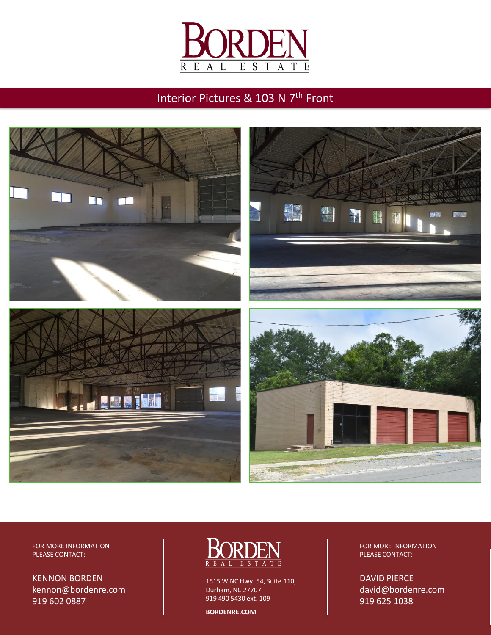

## Interior Pictures & 103 N 7<sup>th</sup> Front



FOR MORE INFORMATION PLEASE CONTACT:

KENNON BORDEN kennon@bordenre.com 919 602 0887



1515 W NC Hwy. 54, Suite 110, Durham, NC 27707 919 490 5430 ext. 109

**BORDENRE.COM**

FOR MORE INFORMATION PLEASE CONTACT: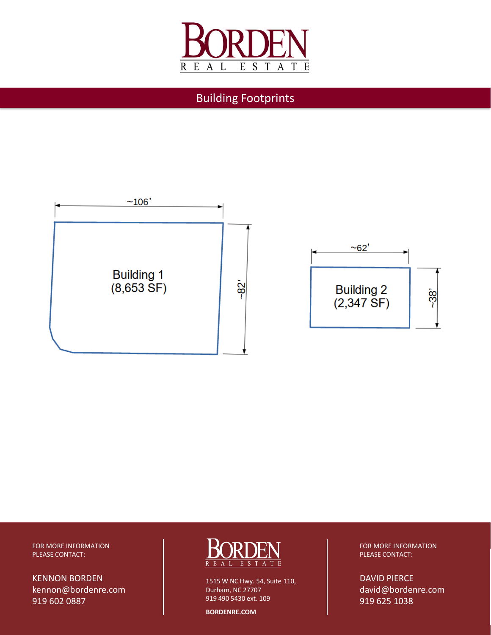

Building Footprints



FOR MORE INFORMATION PLEASE CONTACT:

KENNON BORDEN kennon@bordenre.com 919 602 0887



1515 W NC Hwy. 54, Suite 110, Durham, NC 27707 919 490 5430 ext. 109

**BORDENRE.COM**

FOR MORE INFORMATION PLEASE CONTACT: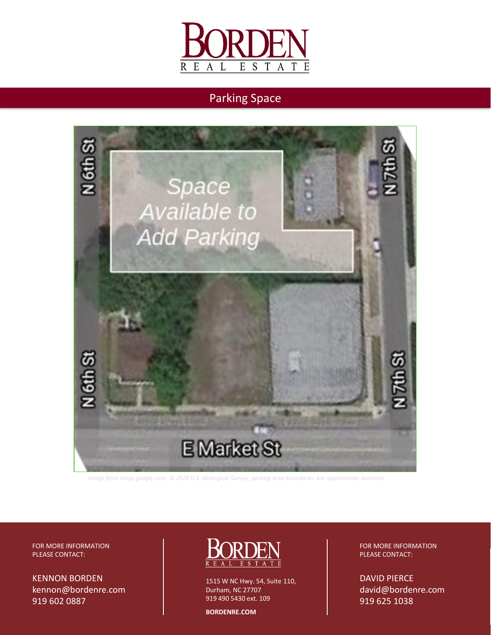

### Parking Space



*Image from maps.google.com, © 2020 U.S. Geological Survey; parking area boundaries are approximate locations.*

FOR MORE INFORMATION PLEASE CONTACT:

KENNON BORDEN kennon@bordenre.com 919 602 0887



1515 W NC Hwy. 54, Suite 110, Durham, NC 27707 919 490 5430 ext. 109

**BORDENRE.COM**

FOR MORE INFORMATION PLEASE CONTACT: